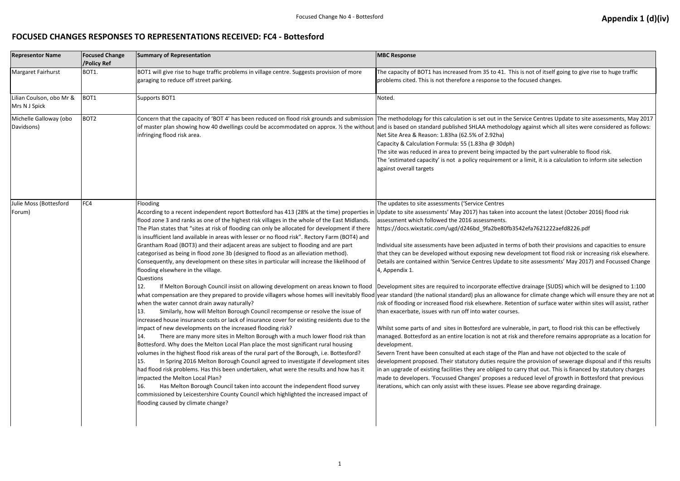### **FOCUSED CHANGES RESPONSES TO REPRESENTATIONS RECEIVED: FC4 - Bottesford**

| <b>Representor Name</b>                   | <b>Focused Change</b><br>/Policy Ref | <b>Summary of Representation</b>                                                                                                                                                                                                                                                                                                                                                                                                                                                                                                                                                                                                                                                                                                                                                                                                                                                                                                                                                                                                                                                                                                                                                                                                                                                                                                                                                                                                                                                                                                                                                                                                                                                                                                                                                                                                                                                                                                                                                                                                                                                                                                                    | <b>MBC Response</b>                                                                                                                                                                                                                                                                                                                                                                                                                                                                                                                                                                                                                                                                                                                                                                                                                                                                                                                   |
|-------------------------------------------|--------------------------------------|-----------------------------------------------------------------------------------------------------------------------------------------------------------------------------------------------------------------------------------------------------------------------------------------------------------------------------------------------------------------------------------------------------------------------------------------------------------------------------------------------------------------------------------------------------------------------------------------------------------------------------------------------------------------------------------------------------------------------------------------------------------------------------------------------------------------------------------------------------------------------------------------------------------------------------------------------------------------------------------------------------------------------------------------------------------------------------------------------------------------------------------------------------------------------------------------------------------------------------------------------------------------------------------------------------------------------------------------------------------------------------------------------------------------------------------------------------------------------------------------------------------------------------------------------------------------------------------------------------------------------------------------------------------------------------------------------------------------------------------------------------------------------------------------------------------------------------------------------------------------------------------------------------------------------------------------------------------------------------------------------------------------------------------------------------------------------------------------------------------------------------------------------------|---------------------------------------------------------------------------------------------------------------------------------------------------------------------------------------------------------------------------------------------------------------------------------------------------------------------------------------------------------------------------------------------------------------------------------------------------------------------------------------------------------------------------------------------------------------------------------------------------------------------------------------------------------------------------------------------------------------------------------------------------------------------------------------------------------------------------------------------------------------------------------------------------------------------------------------|
| <b>Margaret Fairhurst</b>                 | BOT1.                                | BOT1 will give rise to huge traffic problems in village centre. Suggests provision of more<br>garaging to reduce off street parking.                                                                                                                                                                                                                                                                                                                                                                                                                                                                                                                                                                                                                                                                                                                                                                                                                                                                                                                                                                                                                                                                                                                                                                                                                                                                                                                                                                                                                                                                                                                                                                                                                                                                                                                                                                                                                                                                                                                                                                                                                | The capacity of BOT1 has increased from 35 to 41. This<br>problems cited. This is not therefore a response to the f                                                                                                                                                                                                                                                                                                                                                                                                                                                                                                                                                                                                                                                                                                                                                                                                                   |
| Lilian Coulson, obo Mr &<br>Mrs N J Spick | BOT <sub>1</sub>                     | Supports BOT1                                                                                                                                                                                                                                                                                                                                                                                                                                                                                                                                                                                                                                                                                                                                                                                                                                                                                                                                                                                                                                                                                                                                                                                                                                                                                                                                                                                                                                                                                                                                                                                                                                                                                                                                                                                                                                                                                                                                                                                                                                                                                                                                       | Noted.                                                                                                                                                                                                                                                                                                                                                                                                                                                                                                                                                                                                                                                                                                                                                                                                                                                                                                                                |
| Michelle Galloway (obo<br>Davidsons)      | BOT <sub>2</sub>                     | Concern that the capacity of 'BOT 4' has been reduced on flood risk grounds and submission The methodology for this calculation is set out in the Se<br>of master plan showing how 40 dwellings could be accommodated on approx. % the without and is based on standard published SHLAA methodolog<br>infringing flood risk area.                                                                                                                                                                                                                                                                                                                                                                                                                                                                                                                                                                                                                                                                                                                                                                                                                                                                                                                                                                                                                                                                                                                                                                                                                                                                                                                                                                                                                                                                                                                                                                                                                                                                                                                                                                                                                   | Net Site Area & Reason: 1.83ha (62.5% of 2.92ha)<br>Capacity & Calculation Formula: 55 (1.83ha @ 30dph)<br>The site was reduced in area to prevent being impacted<br>The 'estimated capacity' is not a policy requirement or<br>against overall targets                                                                                                                                                                                                                                                                                                                                                                                                                                                                                                                                                                                                                                                                               |
| Julie Moss (Bottesford<br>Forum)          | FC4                                  | Flooding<br>According to a recent independent report Bottesford has 413 (28% at the time) properties in Update to site assessments' May 2017) has taken into a<br>flood zone 3 and ranks as one of the highest risk villages in the whole of the East Midlands.<br>The Plan states that "sites at risk of flooding can only be allocated for development if there<br>is insufficient land available in areas with lesser or no flood risk". Rectory Farm (BOT4) and<br>Grantham Road (BOT3) and their adjacent areas are subject to flooding and are part<br>categorised as being in flood zone 3b (designed to flood as an alleviation method).<br>Consequently, any development on these sites in particular will increase the likelihood of<br>flooding elsewhere in the village.<br><b>Questions</b><br>If Melton Borough Council insist on allowing development on areas known to flood  Development sites are required to incorporate effective<br>12.<br>what compensation are they prepared to provide villagers whose homes will inevitably flood vear standard (the national standard) plus an allowance<br>when the water cannot drain away naturally?<br>Similarly, how will Melton Borough Council recompense or resolve the issue of<br>13.<br>increased house insurance costs or lack of insurance cover for existing residents due to the<br>impact of new developments on the increased flooding risk?<br>There are many more sites in Melton Borough with a much lower flood risk than<br>14.<br>Bottesford. Why does the Melton Local Plan place the most significant rural housing<br>volumes in the highest flood risk areas of the rural part of the Borough, i.e. Bottesford?<br>In Spring 2016 Melton Borough Council agreed to investigate if development sites<br>15.<br>had flood risk problems. Has this been undertaken, what were the results and how has it<br>impacted the Melton Local Plan?<br>Has Melton Borough Council taken into account the independent flood survey<br>16.<br>commissioned by Leicestershire County Council which highlighted the increased impact of<br>flooding caused by climate change? | The updates to site assessments ('Service Centres<br>assessment which followed the 2016 assessments.<br>https://docs.wixstatic.com/ugd/d246bd_9fa2be80fb35<br>Individual site assessments have been adjusted in terms<br>that they can be developed without exposing new deve<br>Details are contained within 'Service Centres Update to<br>4, Appendix 1.<br>risk of flooding or increased flood risk elsewhere. Reten<br>than exacerbate, issues with run off into water courses.<br>Whilst some parts of and sites in Bottesford are vulner<br>managed. Bottesford as an entire location is not at risk<br>development.<br>Severn Trent have been consulted at each stage of the I<br>development proposed. Their statutory duties require t<br>in an upgrade of existing facilities they are obliged to ca<br>made to developers. 'Focussed Changes' proposes a red<br>iterations, which can only assist with these issues. Pleas |

# Focused Change No 4 - Bottesford **Appendix 1 (d)(iv) Appendix 1 (d)(iv)**

his is not of itself going to give rise to huge traffic ne focused changes.

**Service Centres Update to site assessments, May 2017** logy against which all sites were considered as follows:

ted by the part vulnerable to flood risk. or a limit, it is a calculation to inform site selection

to account the latest (October 2016) flood risk

13542efa7621222aefd8226.pdf

rms of both their provisions and capacities to ensure evelopment tot flood risk or increasing risk elsewhere. to site assessments' May 2017) and Focussed Change

tive drainage (SUDS) which will be designed to 1:100 nce for climate change which will ensure they are not at tention of surface water within sites will assist, rather

nerable, in part, to flood risk this can be effectively isk and therefore remains appropriate as a location for

ne Plan and have not objected to the scale of re the provision of sewerage disposal and if this results in an upgrade of earing is carry that out. This is financed by statutory charges reduced level of growth in Bottesford that previous ease see above regarding drainage.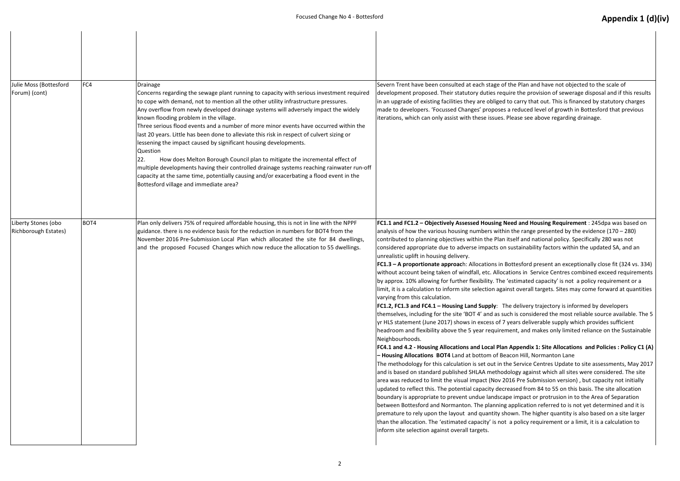| Julie Moss (Bottesford<br>Forum) (cont)            | FC4  | Drainage<br>Concerns regarding the sewage plant running to capacity with serious investment required<br>to cope with demand, not to mention all the other utility infrastructure pressures.<br>Any overflow from newly developed drainage systems will adversely impact the widely<br>known flooding problem in the village.<br>Three serious flood events and a number of more minor events have occurred within the<br>last 20 years. Little has been done to alleviate this risk in respect of culvert sizing or<br>lessening the impact caused by significant housing developments.<br>Question<br>How does Melton Borough Council plan to mitigate the incremental effect of<br>22.<br>multiple developments having their controlled drainage systems reaching rainwater run-off<br>capacity at the same time, potentially causing and/or exacerbating a flood event in the<br>Bottesford village and immediate area? | Severn Trent have been consulted at each stage of the<br>development proposed. Their statutory duties require<br>in an upgrade of existing facilities they are obliged to<br>made to developers. 'Focussed Changes' proposes a r<br>iterations, which can only assist with these issues. Ple                                                                                                                                                                                                                                                                                                                                                                                                                                                                                                                                                                                                                                                                                                                                                                                                                                                                                                                                                                                                                                                                                                                                                   |
|----------------------------------------------------|------|----------------------------------------------------------------------------------------------------------------------------------------------------------------------------------------------------------------------------------------------------------------------------------------------------------------------------------------------------------------------------------------------------------------------------------------------------------------------------------------------------------------------------------------------------------------------------------------------------------------------------------------------------------------------------------------------------------------------------------------------------------------------------------------------------------------------------------------------------------------------------------------------------------------------------|------------------------------------------------------------------------------------------------------------------------------------------------------------------------------------------------------------------------------------------------------------------------------------------------------------------------------------------------------------------------------------------------------------------------------------------------------------------------------------------------------------------------------------------------------------------------------------------------------------------------------------------------------------------------------------------------------------------------------------------------------------------------------------------------------------------------------------------------------------------------------------------------------------------------------------------------------------------------------------------------------------------------------------------------------------------------------------------------------------------------------------------------------------------------------------------------------------------------------------------------------------------------------------------------------------------------------------------------------------------------------------------------------------------------------------------------|
| Liberty Stones (obo<br><b>Richborough Estates)</b> | BOT4 | Plan only delivers 75% of required affordable housing, this is not in line with the NPPF<br>guidance, there is no evidence basis for the reduction in numbers for BOT4 from the<br>November 2016 Pre-Submission Local Plan which allocated the site for 84 dwellings,<br>and the proposed Focused Changes which now reduce the allocation to 55 dwellings.                                                                                                                                                                                                                                                                                                                                                                                                                                                                                                                                                                 | FC1.1 and FC1.2 - Objectively Assessed Housing Nee<br>analysis of how the various housing numbers within tl<br>contributed to planning objectives within the Plan itse<br>considered appropriate due to adverse impacts on su<br>unrealistic uplift in housing delivery.<br>FC1.3 - A proportionate approach: Allocations in Bot<br>without account being taken of windfall, etc. Allocation<br>by approx. 10% allowing for further flexibility. The 'es<br>limit, it is a calculation to inform site selection against<br>varying from this calculation.<br>FC1.2, FC1.3 and FC4.1 - Housing Land Supply: The<br>themselves, including for the site 'BOT 4' and as such<br>yr HLS statement (June 2017) shows in excess of 7 yea<br>headroom and flexibility above the 5 year requiremer<br>Neighbourhoods.<br>FC4.1 and 4.2 - Housing Allocations and Local Plan A<br>- Housing Allocations BOT4 Land at bottom of Beacc<br>The methodology for this calculation is set out in the :<br>and is based on standard published SHLAA methodold<br>area was reduced to limit the visual impact (Nov 2016<br>updated to reflect this. The potential capacity decreas<br>boundary is appropriate to prevent undue landscape<br>between Bottesford and Normanton. The planning ap<br>premature to rely upon the layout and quantity show<br>than the allocation. The 'estimated capacity' is not a<br>inform site selection against overall targets. |

e Plan and have not objected to the scale of e the provision of sewerage disposal and if this results carry that out. This is financed by statutory charges reduced level of growth in Bottesford that previous ease see above regarding drainage.

**Example 3 and Housing Requirement** : 245dpa was based on the range presented by the evidence (170 – 280) elf and national policy. Specifically 280 was not istainability factors within the updated SA, and an

**FAL.3 FER.3 FERR is approached: A proportionally close fit (324 vs. 334)** ons in Service Centres combined exceed requirements stimated capacity' is not a policy requirement or a Ioverall targets. Sites may come forward at quantities

delivery trajectory is informed by developers is considered the most reliable source available. The 5 ars deliverable supply which provides sufficient nt, and makes only limited reliance on the Sustainable

#### **ppendix 1: Site Allocations and Policies : Policy C1 (A) Jon Hill, Normanton Lane**

Service Centres Update to site assessments, May 2017 bay against which all sites were considered. The site 6 Pre Submission version), but capacity not initially sed from 84 to 55 on this basis. The site allocation impact or protrusion in to the Area of Separation pplication referred to is not yet determined and it is vn. The higher quantity is also based on a site larger policy requirement or a limit, it is a calculation to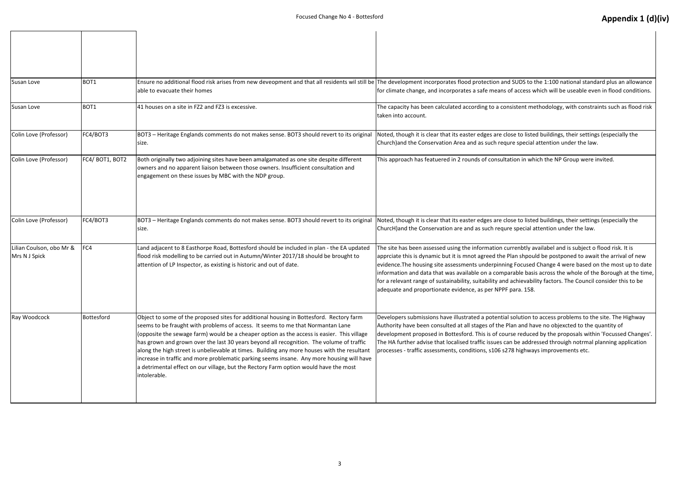| Susan Love                                | BOT1             | Ensure no additional flood risk arises from new deveopment and that all residents wil still be The development incorporates flood protection and S<br>able to evacuate their homes                                                                                                                                                                                                                                                                                                                                                                                                                                                                                       | for climate change, and incorporates a safe means of                                                                                                                                                                                                                                                                                                 |
|-------------------------------------------|------------------|--------------------------------------------------------------------------------------------------------------------------------------------------------------------------------------------------------------------------------------------------------------------------------------------------------------------------------------------------------------------------------------------------------------------------------------------------------------------------------------------------------------------------------------------------------------------------------------------------------------------------------------------------------------------------|------------------------------------------------------------------------------------------------------------------------------------------------------------------------------------------------------------------------------------------------------------------------------------------------------------------------------------------------------|
| Susan Love                                | BOT <sub>1</sub> | 41 houses on a site in FZ2 and FZ3 is excessive.                                                                                                                                                                                                                                                                                                                                                                                                                                                                                                                                                                                                                         | The capacity has been calculated according to a consis<br>taken into account.                                                                                                                                                                                                                                                                        |
| Colin Love (Professor)                    | FC4/BOT3         | BOT3 - Heritage Englands comments do not makes sense. BOT3 should revert to its original<br>Isize.                                                                                                                                                                                                                                                                                                                                                                                                                                                                                                                                                                       | Noted, though it is clear that its easter edges are close<br>Church) and the Conservation Area and as such requre                                                                                                                                                                                                                                    |
| Colin Love (Professor)                    | FC4/BOT1, BOT2   | Both originally two adjoining sites have been amalgamated as one site despite different<br>owners and no apparent liaison between those owners. Insufficient consultation and<br>engagement on these issues by MBC with the NDP group.                                                                                                                                                                                                                                                                                                                                                                                                                                   | This approach has featuered in 2 rounds of consultation                                                                                                                                                                                                                                                                                              |
| Colin Love (Professor)                    | FC4/BOT3         | BOT3 - Heritage Englands comments do not makes sense. BOT3 should revert to its original<br>size.                                                                                                                                                                                                                                                                                                                                                                                                                                                                                                                                                                        | Noted, though it is clear that its easter edges are close<br>ChurcH) and the Conservation are and as such requre :                                                                                                                                                                                                                                   |
| Lilian Coulson, obo Mr &<br>Mrs N J Spick | FC4              | Land adjacent to 8 Easthorpe Road, Bottesford should be included in plan - the EA updated<br>flood risk modelling to be carried out in Autumn/Winter 2017/18 should be brought to<br>attention of LP Inspector, as existing is historic and out of date.                                                                                                                                                                                                                                                                                                                                                                                                                 | The site has been assessed using the information curr<br>apprciate this is dynamic but it is mnot agreed the Pla<br>evidence. The housing site assessments underpinning<br>information and data that was available on a compara<br>for a relevant range of sustainability, suitability and ad<br>adequate and proportionate evidence, as per NPPF pa |
| Ray Woodcock                              | Bottesford       | Object to some of the proposed sites for additional housing in Bottesford. Rectory farm<br>seems to be fraught with problems of access. It seems to me that Normantan Lane<br>(opposite the sewage farm) would be a cheaper option as the access is easier. This village<br>has grown and grown over the last 30 years beyond all recognition. The volume of traffic<br>along the high street is unbelievable at times. Building any more houses with the resultant<br>increase in traffic and more problematic parking seems insane. Any more housing will have<br>a detrimental effect on our village, but the Rectory Farm option would have the most<br>intolerable. | Developers submissions have illustrated a potential so<br>Authority have been consulted at all stages of the Plai<br>development proposed in Bottesford. This is of course<br>The HA further advise that localised traffic issues can<br>processes - traffic assessments, conditions, s106 s278                                                      |

# Focused Change No 4 - Bottesford **Appendix 1 (d)(iv) Appendix 1 (d)(iv)**

SUDS to the 1:100 national standard plus an allowance access which will be useable even in flood conditions.

istent methodology, with constraints such as flood risk

e to listed buildings, their settings (especially the e special attention under the law.

on in which the NP Group were invited.

e to listed buildings, their settings (especially the special attention under the law.

renbtly availabel and is subject o flood risk. It is an shpould be postponed to await the arrival of new Focused Change 4 were based on the most up to date able basis across the whole of the Borough at the time, chievability factors. The Council consider this to be ara. 158.

olution to access problems to the site. The Highway n and have no objexcted to the quantity of e reduced by the proposals within 'Focussed Changes'. be addressed throuigh notrmal planning application broags improvements etc.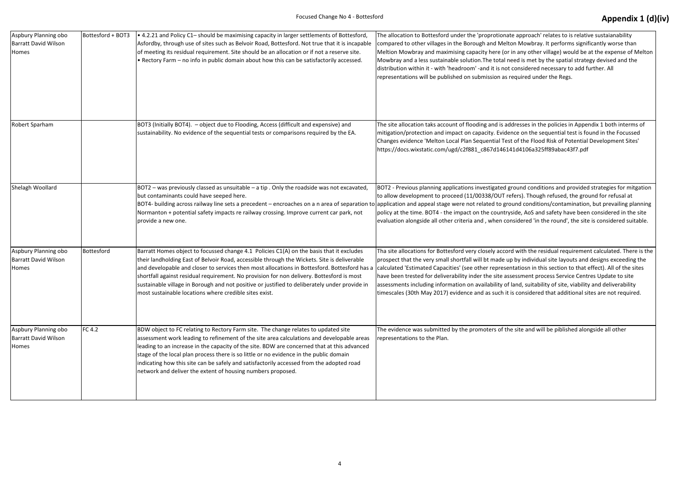| Aspbury Planning obo<br><b>Barratt David Wilson</b><br>Homes | Bottesford + BOT3 | . 4.2.21 and Policy C1- should be maximising capacity in larger settlements of Bottesford,<br>Asfordby, through use of sites such as Belvoir Road, Bottesford. Not true that it is incapable<br>of meeting its residual requirement. Site should be an allocation or if not a reserve site.<br>. Rectory Farm - no info in public domain about how this can be satisfactorily accessed.                                                                                                                                                         | The allocation to Bottesford under the 'proprotionate<br>compared to other villages in the Borough and Melto<br>Meltion Mowbray and maximising capacity here (or in<br>Mowbray and a less sustainable solution. The total ne<br>distribution within it - with 'headroom' -and it is not o<br>representations will be published on submission as re          |
|--------------------------------------------------------------|-------------------|-------------------------------------------------------------------------------------------------------------------------------------------------------------------------------------------------------------------------------------------------------------------------------------------------------------------------------------------------------------------------------------------------------------------------------------------------------------------------------------------------------------------------------------------------|-------------------------------------------------------------------------------------------------------------------------------------------------------------------------------------------------------------------------------------------------------------------------------------------------------------------------------------------------------------|
| Robert Sparham                                               |                   | BOT3 (Initially BOT4). - object due to Flooding, Access (difficult and expensive) and<br>sustainability. No evidence of the sequential tests or comparisons required by the EA.                                                                                                                                                                                                                                                                                                                                                                 | The site allocation taks account of flooding and is add<br>mitigation/protection and impact on capacity. Eviden<br>Changes evidence 'Melton Local Plan Sequential Test<br>https://docs.wixstatic.com/ugd/c2f881_c867d14614                                                                                                                                  |
| Shelagh Woollard                                             |                   | BOT2 - was previously classed as unsuitable $-$ a tip . Only the roadside was not excavated,<br>but contaminants could have seeped here.<br>BOT4- building across railway line sets a precedent – encroaches on a n area of separation to application and appeal stage were not related to grou<br>Normanton + potential safety impacts re railway crossing. Improve current car park, not<br>provide a new one.                                                                                                                                | BOT2 - Previous planning applications investigated gr<br>to allow development to proceed (11/00338/OUT ref<br>policy at the time. BOT4 - the impact on the countrys<br>evaluation alongside all other criteria and, when con                                                                                                                                |
| Aspbury Planning obo<br><b>Barratt David Wilson</b><br>Homes | Bottesford        | Barratt Homes object to focussed change 4.1 Policies C1(A) on the basis that it excludes<br>their landholding East of Belvoir Road, accessible through the Wickets. Site is deliverable<br>and developable and closer to services then most allocations in Bottesford. Bottesford has a<br>shortfall against residual requirement. No provision for non delivery. Bottesford is most<br>sustainable village in Borough and not positive or justified to deliberately under provide in<br>most sustainable locations where credible sites exist. | Tha site allocations for Bottesford very closely accord<br>prospect that the very small shortfall will bt made up<br>calculated 'Estimated Capacities' (see other represent<br>have been trested for deliverability inder the site asse<br>assessments including information on availability of la<br>timescales (30th May 2017) evidence and as such it is |
| Aspbury Planning obo<br><b>Barratt David Wilson</b><br>Homes | <b>FC 4.2</b>     | BDW object to FC relating to Rectory Farm site. The change relates to updated site<br>assessment work leading to refinement of the site area calculations and developable areas<br>leading to an increase in the capacity of the site. BDW are concerned that at this advanced<br>stage of the local plan process there is so little or no evidence in the public domain<br>indicating how this site can be safely and satisfactorily accessed from the adopted road<br>network and deliver the extent of housing numbers proposed.             | The evidence was submitted by the promoters of the<br>representations to the Plan.                                                                                                                                                                                                                                                                          |

# Focused Change No 4 - Bottesford **Appendix 1 (d)(iv) Appendix 1 (d)(iv)**

e approach' relates to is relative sustaianability on Mowbray. It performs significantly worse than in any other village) would be at the expense of Melton eed is met by the spatial strategy devised and the considered necessary to add further. All equired under the Regs.

dresses in the policies in Appendix 1 both interms of nce on the sequential test is found in the Focussed t of the Flood Risk of Potential Development Sites' 11d4106a325ff89abac43f7.pdf

round conditions and provided strategies for mitgation fers). Though refused, the ground for refusal at und conditions/contamination, but prevailing planning side, AoS and safety have been considered in the site isidered 'in the round', the site is considered suitable.

I with the residual requirement calculated. There is the by individual site layouts and designs exceeding the ntatiosn in this section to that effect). All of the sites essment process Service Centres Update to site land, suitability of site, viability and deliverability s considered that additional sites are not required.

the evidence is stated alongside all other